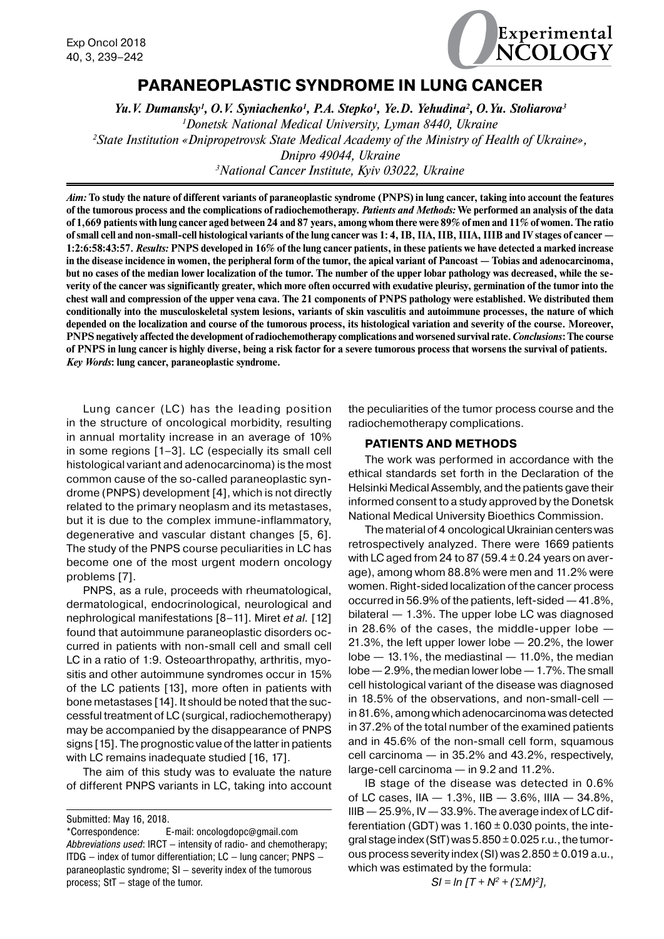

# **PARANEOPLASTIC SYNDROME IN LUNG CANCER**

*Yu.V. Dumansky1 , O.V. Syniachenko1 , P.A. Stepko1 , Ye.D. Yehudina2 , O.Yu. Stoliarova3 1 Donetsk National Medical University, Lyman 8440, Ukraine 2 State Institution «Dnipropetrovsk State Medical Academy of the Ministry of Health of Ukraine», Dnipro 49044, Ukraine 3 National Cancer Institute, Kyiv 03022, Ukraine*

*Aim:* **To study the nature of different variants of paraneoplastic syndrome (PNPS) in lung cancer, taking into account the features of the tumorous process and the complications of radiochemotherapy.** *Patients and Methods:* **We performed an analysis of the data of 1,669 patients with lung cancer aged between 24 and 87 years, among whom there were 89% of men and 11% of women. The ratio of small cell and non-small-cell histological variants of the lung cancer was 1: 4, IB, IIA, IIB, IIIA, IIIB and IV stages of cancer — 1:2:6:58:43:57.** *Results:* **PNPS developed in 16% of the lung cancer patients, in these patients we have detected a marked increase in the disease incidence in women, the peripheral form of the tumor, the apical variant of Pancoast — Tobias and adenocarcinoma, but no cases of the median lower localization of the tumor. The number of the upper lobar pathology was decreased, while the severity of the cancer was significantly greater, which more often occurred with exudative pleurisy, germination of the tumor into the chest wall and compression of the upper vena cava. The 21 components of PNPS pathology were established. We distributed them conditionally into the musculoskeletal system lesions, variants of skin vasculitis and autoimmune processes, the nature of which depended on the localization and course of the tumorous process, its histological variation and severity of the course. Moreover, PNPS negatively affected the development of radiochemotherapy complications and worsened survival rate.** *Conclusions***: The course of PNPS in lung cancer is highly diverse, being a risk factor for a severe tumorous process that worsens the survival of patients.** *Key Words***: lung cancer, paraneoplastic syndrome.**

Lung cancer (LC) has the leading position in the structure of oncological morbidity, resulting in annual mortality increase in an average of 10% in some regions [1–3]. LC (especially its small cell histological variant and adenocarcinoma) is the most common cause of the so-called paraneoplastic syndrome (PNPS) development [4], which is not directly related to the primary neoplasm and its metastases, but it is due to the complex immune-inflammatory, degenerative and vascular distant changes [5, 6]. The study of the PNPS course peculiarities in LC has become one of the most urgent modern oncology problems [7].

PNPS, as a rule, proceeds with rheumatological, dermatological, endocrinological, neurological and nephrological manifestations [8–11]. Miret *et al.* [12] found that autoimmune paraneoplastic disorders occurred in patients with non-small cell and small cell LC in a ratio of 1:9. Osteoarthropathy, arthritis, myositis and other autoimmune syndromes occur in 15% of the LC patients [13], more often in patients with bone metastases [14]. It should be noted that the successful treatment of LC (surgical, radiochemotherapy) may be accompanied by the disappearance of PNPS signs [15]. The prognostic value of the latter in patients with LC remains inadequate studied [16, 17].

The aim of this study was to evaluate the nature of different PNPS variants in LC, taking into account the peculiarities of the tumor process course and the radiochemotherapy complications.

### **PATIENTS AND METHODS**

The work was performed in accordance with the ethical standards set forth in the Declaration of the Helsinki Medical Assembly, and the patients gave their informed consent to a study approved by the Donetsk National Medical University Bioethics Commission.

The material of 4 oncological Ukrainian centers was retrospectively analyzed. There were 1669 patients with LC aged from 24 to 87 (59.4  $\pm$  0.24 years on average), among whom 88.8% were men and 11.2% were women. Right-sided localization of the cancer process occurred in 56.9% of the patients, left-sided — 41.8%, bilateral — 1.3%. The upper lobe LC was diagnosed in 28.6% of the cases, the middle-upper lobe — 21.3%, the left upper lower lobe — 20.2%, the lower lobe  $-$  13.1%, the mediastinal  $-$  11.0%, the median lobe— 2.9%, the median lower lobe— 1.7%. The small cell histological variant of the disease was diagnosed in 18.5% of the observations, and non-small-cell in 81.6%, among which adenocarcinoma was detected in 37.2% of the total number of the examined patients and in 45.6% of the non-small cell form, squamous cell carcinoma — in 35.2% and 43.2%, respectively, large-cell carcinoma — in 9.2 and 11.2%.

IB stage of the disease was detected in 0.6% of LC cases, IIA — 1.3%, IIB — 3.6%, IIIA — 34.8%,  $IIIB - 25.9\%$ , IV  $-33.9\%$ . The average index of LC differentiation (GDT) was  $1.160 \pm 0.030$  points, the integral stage index (StT) was  $5.850 \pm 0.025$  r.u., the tumorous process severity index (SI) was  $2.850 \pm 0.019$  a.u., which was estimated by the formula:

 $SI = In [T + N^2 + (\Sigma M)^2],$ 

Submitted: May 16, 2018.

<sup>\*</sup>Correspondence: E-mail: oncologdopс@gmail.com *Abbreviations used*: IRCT — intensity of radio- and chemotherapy; ITDG — index of tumor differentiation; LC — lung cancer; PNPS paraneoplastic syndrome; SI — severity index of the tumorous process; StT — stage of the tumor.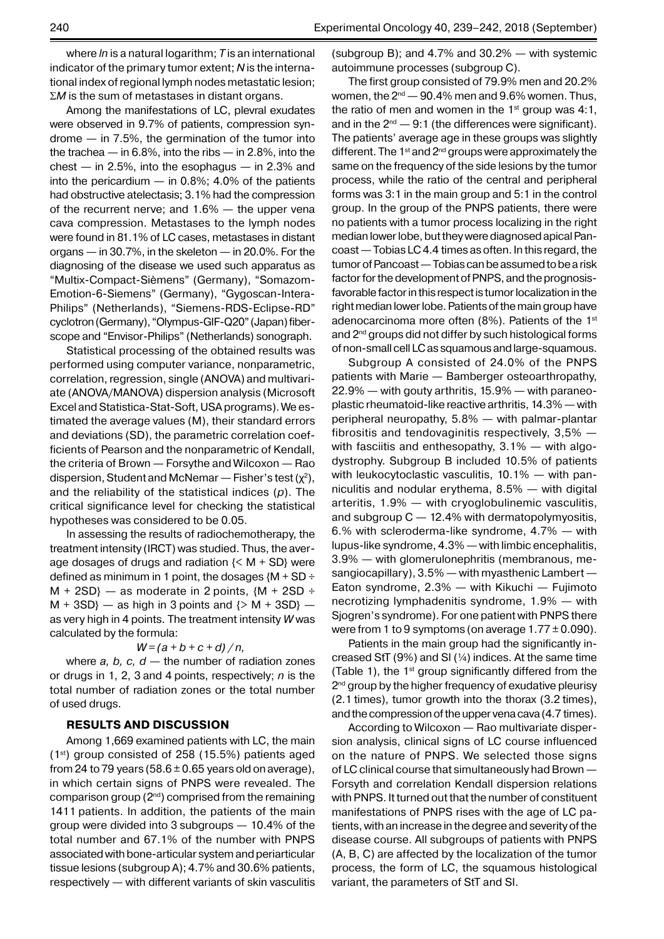where *ln* is a natural logarithm; *T* is an international indicator of the primary tumor extent; *N* is the international index of regional lymph nodes metastatic lesion;  $\Sigma M$  is the sum of metastases in distant organs.

Among the manifestations of LC, plevral exudates were observed in 9.7% of patients, compression syndrome — in 7.5%, the germination of the tumor into the trachea — in 6.8%, into the ribs — in 2.8%, into the  $check - in 2.5%$ , into the esophagus  $-$  in 2.3% and into the pericardium  $-$  in 0.8%; 4.0% of the patients had obstructive atelectasis; 3.1% had the compression of the recurrent nerve; and 1.6% — the upper vena cava compression. Metastases to the lymph nodes were found in 81.1% of LC cases, metastases in distant organs — in 30.7%, in the skeleton — in 20.0%. For the diagnosing of the disease we used such apparatus as "Multix-Compact-Sièmens" (Germany), "Somazom-Emotion-6-Siemens" (Germany), "Gygoscan-Intera-Philips" (Netherlands), "Siemens-RDS-Eclipse-RD" cyclotron (Germany), "Olympus-GIF-Q20" (Japan) fiberscope and "Envisor-Philips" (Netherlands) sonograph.

Statistical processing of the obtained results was performed using computer variance, nonparametric, correlation, regression, single (ANOVA) and multivariate (ANOVA/MANOVA) dispersion analysis (Microsoft Excel and Statistica-Stat-Soft, USA programs). We estimated the average values (M), their standard errors and deviations (SD), the parametric correlation coefficients of Pearson and the nonparametric of Kendall, the criteria of Brown — Forsythe and Wilcoxon — Rao dispersion, Student and McNemar — Fisher's test  $(\chi^2)$ , and the reliability of the statistical indices (*p*). The critical significance level for checking the statistical hypotheses was considered to be 0.05.

In assessing the results of radiochemotherapy, the treatment intensity (IRCT) was studied. Thus, the average dosages of drugs and radiation  $\{< M + SD\}$  were defined as minimum in 1 point, the dosages  ${M + SD \div}$  $M + 2SD$ } — as moderate in 2 points,  $(M + 2SD \div$  $M + 3SD$ } — as high in 3 points and  $\{> M + 3SD\}$  as very high in 4 points. The treatment intensity *W* was calculated by the formula:

#### $W = (a + b + c + d) / n$ ,

where  $a, b, c, d$  — the number of radiation zones or drugs in 1, 2, 3 and 4 points, respectively; *n* is the total number of radiation zones or the total number of used drugs.

#### **RESULTS AND DISCUSSION**

Among 1,669 examined patients with LC, the main  $(1<sup>st</sup>)$  group consisted of 258 (15.5%) patients aged from 24 to 79 years (58.6  $\pm$  0.65 years old on average), in which certain signs of PNPS were revealed. The comparison group (2nd) comprised from the remaining 1411 patients. In addition, the patients of the main group were divided into 3 subgroups — 10.4% of the total number and 67.1% of the number with PNPS associated with bone-articular system and periarticular tissue lesions (subgroup A); 4.7% and 30.6% patients, respectively — with different variants of skin vasculitis (subgroup B); and 4.7% and 30.2% — with systemic autoimmune processes (subgroup C).

The first group consisted of 79.9% men and 20.2% women, the  $2^{nd}$   $-$  90.4% men and 9.6% women. Thus, the ratio of men and women in the  $1<sup>st</sup>$  group was 4:1, and in the  $2^{nd}$   $-$  9:1 (the differences were significant). The patients' average age in these groups was slightly different. The  $1<sup>st</sup>$  and  $2<sup>nd</sup>$  groups were approximately the same on the frequency of the side lesions by the tumor process, while the ratio of the central and peripheral forms was 3:1 in the main group and 5:1 in the control group. In the group of the PNPS patients, there were no patients with a tumor process localizing in the right median lower lobe, but they were diagnosed apical Pancoast— Tobias LC 4.4 times as often. In this regard, the tumor of Panсoast— Tobias can be assumed to be a risk factor for the development of PNPS, and the prognosisfavorable factor in this respect is tumor localization in the right median lower lobe. Patients of the main group have adenocarcinoma more often (8%). Patients of the 1<sup>st</sup> and 2<sup>nd</sup> groups did not differ by such histological forms of non-small cell LC as squamous and large-squamous.

Subgroup A consisted of 24.0% of the PNPS patients with Marie — Bamberger osteoarthropathy, 22.9% — with gouty arthritis, 15.9% — with paraneoplastic rheumatoid-like reactive arthritis, 14.3%— with peripheral neuropathy, 5.8% — with palmar-plantar fibrositis and tendovaginitis respectively, 3,5% with fasciitis and enthesopathy, 3.1% — with algodystrophy. Subgroup B included 10.5% of patients with leukocytoclastic vasculitis, 10.1% — with panniculitis and nodular erythema, 8.5% — with digital arteritis, 1.9% — with cryoglobulinemic vasculitis, and subgroup  $C - 12.4\%$  with dermatopolymyositis, 6.% with scleroderma-like syndrome, 4.7% — with lupus-like syndrome, 4.3% — with limbic encephalitis, 3.9% — with glomerulonephritis (membranous, mesangiocapillary), 3.5% — with myasthenic Lambert — Eaton syndrome, 2.3% — with Kikuchi — Fujimoto necrotizing lymphadenitis syndrome, 1.9% — with Sjogren's syndrome). For one patient with PNPS there were from 1 to 9 symptoms (on average  $1.77 \pm 0.090$ ).

Patients in the main group had the significantly increased StT (9%) and SI ( $\frac{1}{4}$ ) indices. At the same time (Table 1), the  $1^{st}$  group significantly differed from the 2<sup>nd</sup> group by the higher frequency of exudative pleurisy (2.1 times), tumor growth into the thorax (3.2 times), and the compression of the upper vena cava (4.7 times).

According to Wilcoxon — Rao multivariate dispersion analysis, clinical signs of LC course influenced on the nature of PNPS. We selected those signs of LC clinical course that simultaneously had Brown — Forsyth and correlation Kendall dispersion relations with PNPS. It turned out that the number of constituent manifestations of PNPS rises with the age of LC patients, with an increase in the degree and severity of the disease course. All subgroups of patients with PNPS (A, B, C) are affected by the localization of the tumor process, the form of LC, the squamous histological variant, the parameters of StT and SI.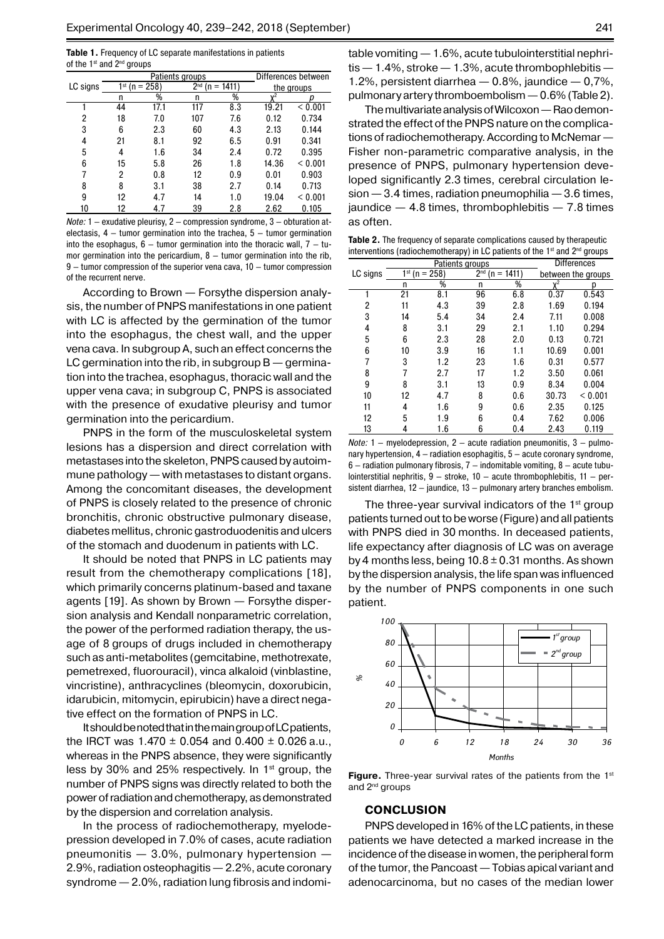**Table 1.** Frequency of LC separate manifestations in patients of the 1<sup>st</sup> and 2<sup>nd</sup> groups

|          |                    | Patients groups | Differences between |     |            |         |
|----------|--------------------|-----------------|---------------------|-----|------------|---------|
| LC signs | $1^{st}$ (n = 258) |                 | $2nd$ (n = 1411)    |     | the groups |         |
|          | n                  | %               | n                   | %   | $v^2$      |         |
|          | 44                 | 17.1            | 117                 | 8.3 | 19.21      | < 0.001 |
| 2        | 18                 | 7.0             | 107                 | 7.6 | 0.12       | 0.734   |
| 3        | 6                  | 2.3             | 60                  | 4.3 | 2.13       | 0.144   |
| 4        | 21                 | 8.1             | 92                  | 6.5 | 0.91       | 0.341   |
| 5        | 4                  | 1.6             | 34                  | 2.4 | 0.72       | 0.395   |
| 6        | 15                 | 5.8             | 26                  | 1.8 | 14.36      | < 0.001 |
|          | 2                  | 0.8             | 12                  | 0.9 | 0.01       | 0.903   |
| 8        | 8                  | 3.1             | 38                  | 2.7 | 0.14       | 0.713   |
| 9        | 12                 | 4.7             | 14                  | 1.0 | 19.04      | < 0.001 |
| 10       | 12                 | 4.7             | 39                  | 2.8 | 2.62       | 0.105   |

*Note:* 1 — exudative pleurisy, 2 — compression syndrome, 3 — obturation atelectasis,  $4 -$  tumor germination into the trachea,  $5 -$  tumor germination into the esophagus,  $6 -$  tumor germination into the thoracic wall,  $7 -$  tumor germination into the pericardium,  $8 -$  tumor germination into the rib, 9 — tumor compression of the superior vena cava, 10 — tumor compression of the recurrent nerve.

According to Brown — Forsythe dispersion analysis, the number of PNPS manifestations in one patient with LC is affected by the germination of the tumor into the esophagus, the chest wall, and the upper vena cava. In subgroup A, such an effect concerns the LC germination into the rib, in subgroup  $B -$  germination into the trachea, esophagus, thoracic wall and the upper vena cava; in subgroup C, PNPS is associated with the presence of exudative pleurisy and tumor germination into the pericardium.

PNPS in the form of the musculoskeletal system lesions has a dispersion and direct correlation with metastases into the skeleton, PNPS caused by autoimmune pathology — with metastases to distant organs. Among the concomitant diseases, the development of PNPS is closely related to the presence of chronic bronchitis, chronic obstructive pulmonary disease, diabetes mellitus, chronic gastroduodenitis and ulcers of the stomach and duodenum in patients with LC.

It should be noted that PNPS in LC patients may result from the chemotherapy complications [18], which primarily concerns platinum-based and taxane agents [19]. As shown by Brown — Forsythe dispersion analysis and Kendall nonparametric correlation, the power of the performed radiation therapy, the usage of 8 groups of drugs included in chemotherapy such as anti-metabolites (gemcitabine, methotrexate, pemetrexed, fluorouracil), vinca alkaloid (vinblastine, vincristine), anthracyclines (bleomycin, doxorubicin, idarubicin, mitomycin, epirubicin) have a direct negative effect on the formation of PNPS in LC.

It should be noted that in the main group of LC patients, the IRCT was  $1.470 \pm 0.054$  and  $0.400 \pm 0.026$  a.u., whereas in the PNPS absence, they were significantly less by 30% and 25% respectively. In  $1<sup>st</sup>$  group, the number of PNPS signs was directly related to both the power of radiation and chemotherapy, as demonstrated by the dispersion and correlation analysis.

In the process of radiochemotherapy, myelodepression developed in 7.0% of cases, acute radiation pneumonitis — 3.0%, pulmonary hypertension — 2.9%, radiation osteophagitis— 2.2%, acute coronary syndrome — 2.0%, radiation lung fibrosis and indomitable vomiting — 1.6%, acute tubulointerstitial nephri $t$ is  $-1.4\%$ , stroke  $-1.3\%$ , acute thrombophlebitis  $-$ 1.2%, persistent diarrhea  $-$  0.8%, jaundice  $-$  0,7%, pulmonary artery thromboembolism— 0.6% (Table 2).

The multivariate analysis of Wilcoxon— Rao demonstrated the effect of the PNPS nature on the complications of radiochemotherapy. According to McNemar— Fisher non-parametric comparative analysis, in the presence of PNPS, pulmonary hypertension developed significantly 2.3 times, cerebral circulation lesion — 3.4 times, radiation pneumophilia — 3.6 times, jaundice  $-4.8$  times, thrombophlebitis  $-7.8$  times as often.

**Table 2.** The frequency of separate complications caused by therapeutic interventions (radiochemotherapy) in LC patients of the 1<sup>st</sup> and 2<sup>nd</sup> groups

|          |               | Patients groups | <b>Differences</b>              |     |                    |         |
|----------|---------------|-----------------|---------------------------------|-----|--------------------|---------|
| LC signs | 1st (n = 258) |                 | 2 <sub>nd</sub><br>$(n = 1411)$ |     | between the groups |         |
|          | n             | %               | n                               | %   | $x^2$              | р       |
|          | 21            | 8.1             | 96                              | 6.8 | 0.37               | 0.543   |
| 2        | 11            | 4.3             | 39                              | 2.8 | 1.69               | 0.194   |
| 3        | 14            | 5.4             | 34                              | 2.4 | 7.11               | 0.008   |
| 4        | 8             | 3.1             | 29                              | 2.1 | 1.10               | 0.294   |
| 5        | 6             | 2.3             | 28                              | 2.0 | 0.13               | 0.721   |
| 6        | 10            | 3.9             | 16                              | 1.1 | 10.69              | 0.001   |
| 7        | 3             | 1.2             | 23                              | 1.6 | 0.31               | 0.577   |
| 8        |               | 2.7             | 17                              | 1.2 | 3.50               | 0.061   |
| 9        | 8             | 3.1             | 13                              | 0.9 | 8.34               | 0.004   |
| 10       | 12            | 4.7             | 8                               | 0.6 | 30.73              | < 0.001 |
| 11       | 4             | 1.6             | 9                               | 0.6 | 2.35               | 0.125   |
| 12       | 5             | 1.9             | 6                               | 0.4 | 7.62               | 0.006   |
| 13       | 4             | 1.6             | 6                               | 0.4 | 2.43               | 0.119   |
|          |               |                 |                                 |     |                    |         |

*Note:* 1 — myelodepression, 2 — acute radiation pneumonitis, 3 — pulmonary hypertension, 4 — radiation esophagitis, 5 — acute coronary syndrome,  $6$  – radiation pulmonary fibrosis,  $7$  – indomitable vomiting,  $8$  – acute tubulointerstitial nephritis,  $9 -$  stroke,  $10 -$  acute thrombophlebitis,  $11 -$  persistent diarrhea, 12 — jaundice, 13 — pulmonary artery branches embolism.

The three-year survival indicators of the  $1<sup>st</sup>$  group patients turned out to be worse (Figure) and all patients with PNPS died in 30 months. In deceased patients, life expectancy after diagnosis of LC was on average by 4 months less, being  $10.8 \pm 0.31$  months. As shown by the dispersion analysis, the life span was influenced by the number of PNPS components in one such patient.



**Figure.** Three-year survival rates of the patients from the 1<sup>st</sup> and 2nd groups

#### **CONCLUSION**

PNPS developed in 16% of the LC patients, in these patients we have detected a marked increase in the incidence of the disease in women, the peripheral form of the tumor, the Pancoast — Tobias apical variant and adenocarcinoma, but no cases of the median lower